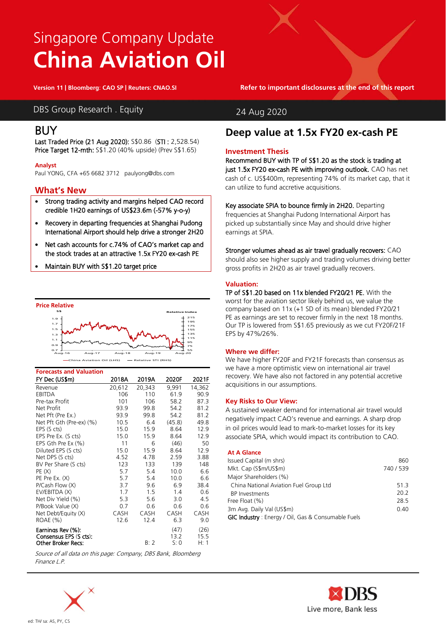# Singapore Company Update **China Aviation Oil**

**Version 11 | Bloomberg: CAO SP | Reuters: CNAO.SI Refer to important disclosures at the end of this report**

### DBS Group Research . Equity 24 Aug 2020

### BUY

Last Traded Price (21 Aug 2020): S\$0.86 (STI : 2,528.54) Price Target 12-mth: S\$1.20 (40% upside) (Prev S\$1.65)

#### **Analyst**

Paul YONG, CFA +65 6682 3712 paulyong@dbs.com

### **What's New**

- Strong trading activity and margins helped CAO record credible 1H20 earnings of US\$23.6m (-57% y-o-y)
- Recovery in departing frequencies at Shanghai Pudong International Airport should help drive a stronger 2H20
- Net cash accounts for c.74% of CAO's market cap and the stock trades at an attractive 1.5x FY20 ex-cash PE
- Maintain BUY with S\$1.20 target price



#### **Forecasts and Valuation**

| roletasts and valuation                     |        |        |              |              |
|---------------------------------------------|--------|--------|--------------|--------------|
| FY Dec (US\$m)                              | 2018A  | 2019A  | 2020F        | 2021F        |
| Revenue                                     | 20.612 | 20.343 | 9.991        | 14.362       |
| EBITDA                                      | 106    | 110    | 61.9         | 90.9         |
| Pre-tax Profit                              | 101    | 106    | 58.2         | 87.3         |
| Net Profit                                  | 93.9   | 99.8   | 54.2         | 81.2         |
| Net Pft (Pre Ex.)                           | 93.9   | 99.8   | 54.2         | 81.2         |
| Net Pft Gth (Pre-ex) (%)                    | 10.5   | 6.4    | (45.8)       | 49.8         |
| EPS (S cts)                                 | 15.0   | 15.9   | 8.64         | 12.9         |
| EPS Pre Ex. (S cts)                         | 15.0   | 15.9   | 8.64         | 12.9         |
| EPS Gth Pre Ex (%)                          | 11     | 6      | (46)         | 50           |
| Diluted EPS (S cts)                         | 15.0   | 15.9   | 8.64         | 12.9         |
| Net DPS (S cts)                             | 4.52   | 4.78   | 2.59         | 3.88         |
| BV Per Share (S cts)                        | 123    | 133    | 139          | 148          |
| PE(X)                                       | 5.7    | 5.4    | 10.0         | 6.6          |
| PE Pre Ex. (X)                              | 5.7    | 5.4    | 10.0         | 6.6          |
| P/Cash Flow (X)                             | 3.7    | 9.6    | 6.9          | 38.4         |
| EV/EBITDA (X)                               | 1.7    | 1.5    | 1.4          | 0.6          |
| Net Div Yield (%)                           | 5.3    | 5.6    | 3.0          | 4.5          |
| P/Book Value (X)                            | 0.7    | 0.6    | 0.6          | 0.6          |
| Net Debt/Equity (X)                         | CASH   | CASH   | <b>CASH</b>  | CASH         |
| ROAE (%)                                    | 12.6   | 12.4   | 6.3          | 9.0          |
| Earnings Rev (%):<br>Consensus EPS (S cts): |        |        | (47)<br>13.2 | (26)<br>15.5 |
| Other Broker Recs:                          |        | B: 2   | S: 0         | H: 1         |

Source of all data on this page: Company, DBS Bank, Bloomberg Finance L.P.



## **Deep value at 1.5x FY20 ex-cash PE**

#### **Investment Thesis**

Recommend BUY with TP of S\$1.20 as the stock is trading at just 1.5x FY20 ex-cash PE with improving outlook. CAO has net cash of c. US\$400m, representing 74% of its market cap, that it can utilize to fund accretive acquisitions.

Key associate SPIA to bounce firmly in 2H20. Departing frequencies at Shanghai Pudong International Airport has picked up substantially since May and should drive higher earnings at SPIA.

#### Stronger volumes ahead as air travel gradually recovers: CAO

should also see higher supply and trading volumes driving better gross profits in 2H20 as air travel gradually recovers.

#### **Valuation:**

TP of S\$1.20 based on 11x blended FY20/21 PE. With the worst for the aviation sector likely behind us, we value the company based on 11x (+1 SD of its mean) blended FY20/21 PE as earnings are set to recover firmly in the next 18 months. Our TP is lowered from S\$1.65 previously as we cut FY20F/21F EPS by 47%/26%.

#### **Where we differ:**

We have higher FY20F and FY21F forecasts than consensus as we have a more optimistic view on international air travel recovery. We have also not factored in any potential accretive acquisitions in our assumptions.

#### **Key Risks to Our View:**

A sustained weaker demand for international air travel would negatively impact CAO's revenue and earnings. A sharp drop in oil prices would lead to mark-to-market losses for its key associate SPIA, which would impact its contribution to CAO.

#### **At A Glance**

| Issued Capital (m shrs)                            | 860       |
|----------------------------------------------------|-----------|
| Mkt. Cap (S\$m/US\$m)                              | 740 / 539 |
| Major Shareholders (%)                             |           |
| China National Aviation Fuel Group Ltd             | 51.3      |
| <b>BP</b> Investments                              | 20.2      |
| Free Float (%)                                     | 28.5      |
| 3m Avg. Daily Val (US\$m)                          | 0.40      |
| GIC Industry: Energy / Oil, Gas & Consumable Fuels |           |

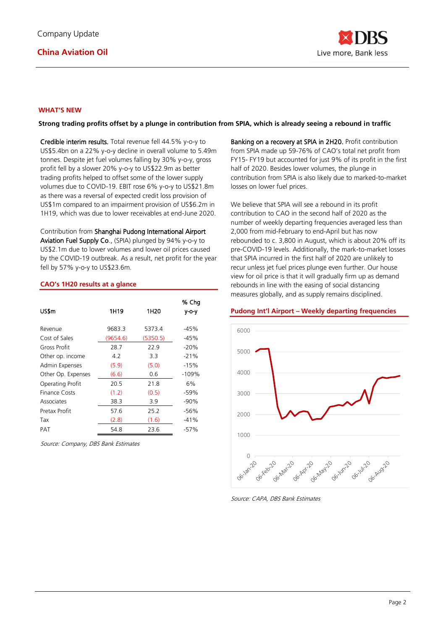

#### **WHAT'S NEW**

**Strong trading profits offset by a plunge in contribution from SPIA, which is already seeing a rebound in traffic**

Credible interim results. Total revenue fell 44.5% y-o-y to US\$5.4bn on a 22% y-o-y decline in overall volume to 5.49m tonnes. Despite jet fuel volumes falling by 30% y-o-y, gross profit fell by a slower 20% y-o-y to US\$22.9m as better trading profits helped to offset some of the lower supply volumes due to COVID-19. EBIT rose 6% y-o-y to US\$21.8m as there was a reversal of expected credit loss provision of US\$1m compared to an impairment provision of US\$6.2m in 1H19, which was due to lower receivables at end-June 2020.

Contribution from Shanghai Pudong International Airport Aviation Fuel Supply Co., (SPIA) plunged by 94% y-o-y to US\$2.1m due to lower volumes and lower oil prices caused by the COVID-19 outbreak. As a result, net profit for the year fell by 57% y-o-y to US\$23.6m.

#### **CAO's 1H20 results at a glance**

| US\$m              | 1H19     | 1H <sub>20</sub> | % Chq<br>$V-O-V$ |
|--------------------|----------|------------------|------------------|
| Revenue            | 9683.3   | 5373.4           | $-45%$           |
| Cost of Sales      | (9654.6) | (5350.5)         | -45%             |
| Gross Profit       | 28.7     | 22.9             | $-20%$           |
| Other op. income   | 4.2      | 3.3              | $-21%$           |
| Admin Expenses     | (5.9)    | (5.0)            | $-15%$           |
| Other Op. Expenses | (6.6)    | 0.6              | $-109%$          |
| Operating Profit   | 20.5     | 21.8             | 6%               |
| Finance Costs      | (1.2)    | (0.5)            | -59%             |
| Associates         | 38.3     | 3.9              | $-90%$           |
| Pretax Profit      | 57.6     | 25.2             | -56%             |
| Tax                | (2.8)    | (1.6)            | $-41%$           |
| PAT                | 54.8     | 23.6             | $-57%$           |

Source: Company, DBS Bank Estimates

Banking on a recovery at SPIA in 2H20. Profit contribution from SPIA made up 59-76% of CAO's total net profit from FY15- FY19 but accounted for just 9% of its profit in the first half of 2020. Besides lower volumes, the plunge in contribution from SPIA is also likely due to marked-to-market losses on lower fuel prices.

We believe that SPIA will see a rebound in its profit contribution to CAO in the second half of 2020 as the number of weekly departing frequencies averaged less than 2,000 from mid-February to end-April but has now rebounded to c. 3,800 in August, which is about 20% off its pre-COVID-19 levels. Additionally, the mark-to-market losses that SPIA incurred in the first half of 2020 are unlikely to recur unless jet fuel prices plunge even further. Our house view for oil price is that it will gradually firm up as demand rebounds in line with the easing of social distancing measures globally, and as supply remains disciplined.

#### **Pudong Int'l Airport – Weekly departing frequencies**



Source: CAPA, DBS Bank Estimates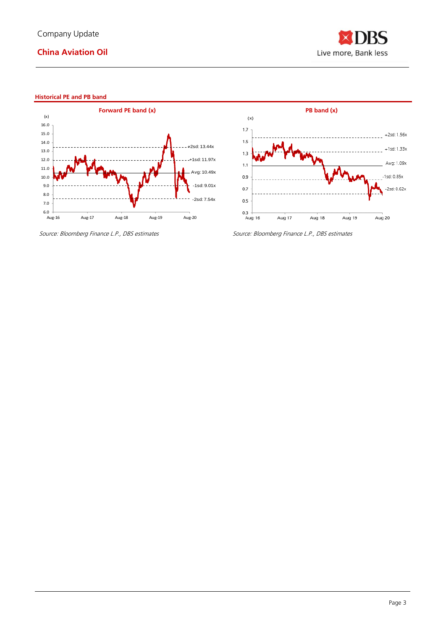

#### **Historical PE and PB band**





Source: Bloomberg Finance L.P., DBS estimates Source: Bloomberg Finance L.P., DBS estimates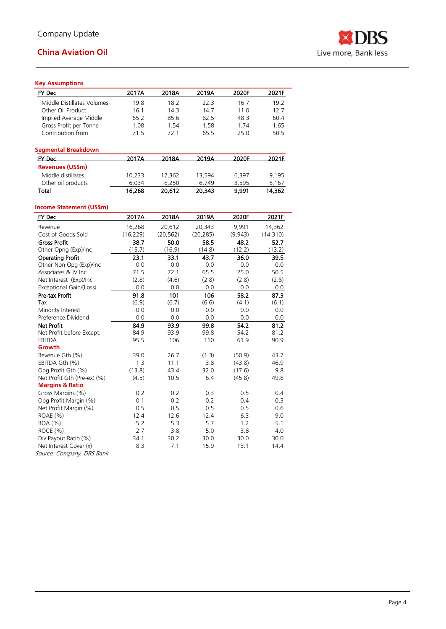

#### **Key Assumptions**

| <b>ILEA WILLINGS</b>       |        |        |        |       |        |
|----------------------------|--------|--------|--------|-------|--------|
| FY Dec                     | 2017A  | 2018A  | 2019A  | 2020F | 2021F  |
| Middle Distillates Volumes | 19.8   | 18.2   | 22.3   | 16.7  | 19.2   |
| Other Oil Product          | 16.1   | 14.3   | 14.7   | 11.0  | 12.7   |
| Implied Average Middle     | 65.2   | 85.6   | 82.5   | 48.3  | 60.4   |
| Gross Profit per Tonne     | 1.08   | 1.54   | 1.58   | 1.74  | 1.65   |
| Contribution from          | 71.5   | 72.1   | 65.5   | 25.0  | 50.5   |
| <b>Segmental Breakdown</b> |        |        |        |       |        |
| FY Dec                     | 2017A  | 2018A  | 2019A  | 2020F | 2021F  |
| <b>Revenues (US\$m)</b>    |        |        |        |       |        |
| Middle distillates         | 10,233 | 12,362 | 13,594 | 6,397 | 9,195  |
| Other oil products         | 6.034  | 8,250  | 6.749  | 3,595 | 5,167  |
| Total                      | 16.268 | 20.612 | 20,343 | 9.991 | 14.362 |

### **Income Statement (US\$m)**

| FY Dec                      | 2017A     | 2018A     | 2019A     | 2020F   | 2021F     |
|-----------------------------|-----------|-----------|-----------|---------|-----------|
| Revenue                     | 16,268    | 20,612    | 20,343    | 9,991   | 14,362    |
| Cost of Goods Sold          | (16, 229) | (20, 562) | (20, 285) | (9,943) | (14, 310) |
| <b>Gross Profit</b>         | 38.7      | 50.0      | 58.5      | 48.2    | 52.7      |
| Other Opng (Exp)/Inc        | (15.7)    | (16.9)    | (14.8)    | (12.2)  | (13.2)    |
| <b>Operating Profit</b>     | 23.1      | 33.1      | 43.7      | 36.0    | 39.5      |
| Other Non Opg (Exp)/Inc     | 0.0       | 0.0       | 0.0       | 0.0     | 0.0       |
| Associates & JV Inc.        | 71.5      | 72.1      | 65.5      | 25.0    | 50.5      |
| Net Interest (Exp)/Inc      | (2.8)     | (4.6)     | (2.8)     | (2.8)   | (2.8)     |
| Exceptional Gain/(Loss)     | 0.0       | 0.0       | 0.0       | 0.0     | 0.0       |
| Pre-tax Profit              | 91.8      | 101       | 106       | 58.2    | 87.3      |
| Tax                         | (6.9)     | (6.7)     | (6.6)     | (4.1)   | (6.1)     |
| Minority Interest           | 0.0       | 0.0       | 0.0       | 0.0     | 0.0       |
| Preference Dividend         | 0.0       | 0.0       | 0.0       | 0.0     | 0.0       |
| <b>Net Profit</b>           | 84.9      | 93.9      | 99.8      | 54.2    | 81.2      |
| Net Profit before Except.   | 84.9      | 93.9      | 99.8      | 54.2    | 81.2      |
| EBITDA                      | 95.5      | 106       | 110       | 61.9    | 90.9      |
| Growth                      |           |           |           |         |           |
| Revenue Gth (%)             | 39.0      | 26.7      | (1.3)     | (50.9)  | 43.7      |
| EBITDA Gth (%)              | 1.3       | 11.1      | 3.8       | (43.8)  | 46.9      |
| Opg Profit Gth (%)          | (13.8)    | 43.4      | 32.0      | (17.6)  | 9.8       |
| Net Profit Gth (Pre-ex) (%) | (4.5)     | 10.5      | 6.4       | (45.8)  | 49.8      |
| <b>Margins &amp; Ratio</b>  |           |           |           |         |           |
| Gross Margins (%)           | 0.2       | 0.2       | 0.3       | 0.5     | 0.4       |
| Opg Profit Margin (%)       | 0.1       | 0.2       | 0.2       | 0.4     | 0.3       |
| Net Profit Margin (%)       | 0.5       | 0.5       | 0.5       | 0.5     | 0.6       |
| ROAE (%)                    | 12.4      | 12.6      | 12.4      | 6.3     | 9.0       |
| ROA (%)                     | 5.2       | 5.3       | 5.7       | 3.2     | 5.1       |
| ROCE (%)                    | 2.7       | 3.8       | 5.0       | 3.8     | 4.0       |
| Div Payout Ratio (%)        | 34.1      | 30.2      | 30.0      | 30.0    | 30.0      |
| Net Interest Cover (x)      | 8.3       | 7.1       | 15.9      | 13.1    | 14.4      |

Source: Company, DBS Bank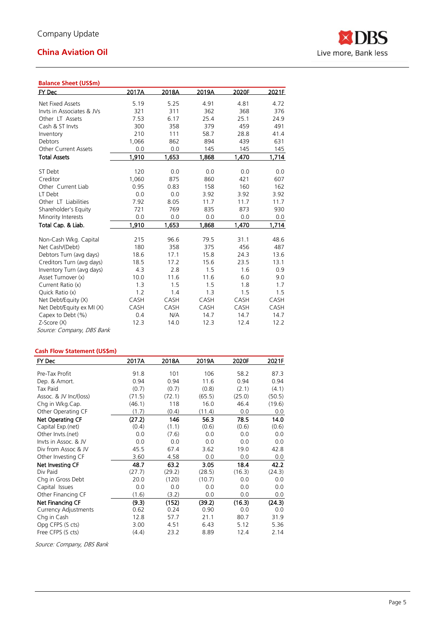

| <b>Balance Sheet (US\$m)</b> |       |       |       |       |       |
|------------------------------|-------|-------|-------|-------|-------|
| <b>FY Dec</b>                | 2017A | 2018A | 2019A | 2020F | 2021F |
| Net Fixed Assets             | 5.19  | 5.25  | 4.91  | 4.81  | 4.72  |
| Invts in Associates & JVs    | 321   | 311   | 362   | 368   | 376   |
| Other LT Assets              | 7.53  | 6.17  | 25.4  | 25.1  | 24.9  |
| Cash & ST Invts              | 300   | 358   | 379   | 459   | 491   |
| Inventory                    | 210   | 111   | 58.7  | 28.8  | 41.4  |
| Debtors                      | 1,066 | 862   | 894   | 439   | 631   |
| Other Current Assets         | 0.0   | 0.0   | 145   | 145   | 145   |
| <b>Total Assets</b>          | 1,910 | 1,653 | 1,868 | 1,470 | 1,714 |
|                              |       |       |       |       |       |
| ST Debt                      | 120   | 0.0   | 0.0   | 0.0   | 0.0   |
| Creditor                     | 1,060 | 875   | 860   | 421   | 607   |
| Other Current Liab           | 0.95  | 0.83  | 158   | 160   | 162   |
| LT Debt                      | 0.0   | 0.0   | 3.92  | 3.92  | 3.92  |
| Other LT Liabilities         | 7.92  | 8.05  | 11.7  | 11.7  | 11.7  |
| Shareholder's Equity         | 721   | 769   | 835   | 873   | 930   |
| Minority Interests           | 0.0   | 0.0   | 0.0   | 0.0   | 0.0   |
| Total Cap. & Liab.           | 1,910 | 1,653 | 1,868 | 1,470 | 1,714 |
| Non-Cash Wkg. Capital        | 215   | 96.6  | 79.5  | 31.1  | 48.6  |
| Net Cash/(Debt)              | 180   | 358   | 375   | 456   | 487   |
| Debtors Turn (avg days)      | 18.6  | 17.1  | 15.8  | 24.3  | 13.6  |
| Creditors Turn (avg days)    | 18.5  | 17.2  | 15.6  | 23.5  | 13.1  |
| Inventory Turn (avg days)    | 4.3   | 2.8   | 1.5   | 1.6   | 0.9   |
| Asset Turnover (x)           | 10.0  | 11.6  | 11.6  | 6.0   | 9.0   |
| Current Ratio (x)            | 1.3   | 1.5   | 1.5   | 1.8   | 1.7   |
| Quick Ratio (x)              | 1.2   | 1.4   | 1.3   | 1.5   | 1.5   |
| Net Debt/Equity (X)          | CASH  | CASH  | CASH  | CASH  | CASH  |
| Net Debt/Equity ex MI (X)    | CASH  | CASH  | CASH  | CASH  | CASH  |
| Capex to Debt (%)            | 0.4   | N/A   | 14.7  | 14.7  | 14.7  |
| Z-Score (X)                  | 12.3  | 14.0  | 12.3  | 12.4  | 12.2  |
| Source: Company, DBS Bank    |       |       |       |       |       |

#### **Cash Flow Statement (US\$ m )**

| FY Dec                      | 2017A  | 2018A  | 2019A  | 2020F  | 2021F  |
|-----------------------------|--------|--------|--------|--------|--------|
|                             |        |        |        |        |        |
| Pre-Tax Profit              | 91.8   | 101    | 106    | 58.2   | 87.3   |
| Dep. & Amort.               | 0.94   | 0.94   | 11.6   | 0.94   | 0.94   |
| Tax Paid                    | (0.7)  | (0.7)  | (0.8)  | (2.1)  | (4.1)  |
| Assoc. & JV Inc/(loss)      | (71.5) | (72.1) | (65.5) | (25.0) | (50.5) |
| Chg in Wkg.Cap.             | (46.1) | 118    | 16.0   | 46.4   | (19.6) |
| Other Operating CF          | (1.7)  | (0.4)  | (11.4) | 0.0    | 0.0    |
| <b>Net Operating CF</b>     | (27.2) | 146    | 56.3   | 78.5   | 14.0   |
| Capital Exp.(net)           | (0.4)  | (1.1)  | (0.6)  | (0.6)  | (0.6)  |
| Other Invts.(net)           | 0.0    | (7.6)  | 0.0    | 0.0    | 0.0    |
| Invts in Assoc. & JV        | 0.0    | 0.0    | 0.0    | 0.0    | 0.0    |
| Div from Assoc & JV         | 45.5   | 67.4   | 3.62   | 19.0   | 42.8   |
| Other Investing CF          | 3.60   | 4.58   | 0.0    | 0.0    | 0.0    |
| Net Investing CF            | 48.7   | 63.2   | 3.05   | 18.4   | 42.2   |
| Div Paid                    | (27.7) | (29.2) | (28.5) | (16.3) | (24.3) |
| Chg in Gross Debt           | 20.0   | (120)  | (10.7) | 0.0    | 0.0    |
| Capital Issues              | 0.0    | 0.0    | 0.0    | 0.0    | 0.0    |
| Other Financing CF          | (1.6)  | (3.2)  | 0.0    | 0.0    | 0.0    |
| Net Financing CF            | (9.3)  | (152)  | (39.2) | (16.3) | (24.3) |
| <b>Currency Adjustments</b> | 0.62   | 0.24   | 0.90   | 0.0    | 0.0    |
| Chg in Cash                 | 12.8   | 57.7   | 21.1   | 80.7   | 31.9   |
| Opg CFPS (S cts)            | 3.00   | 4.51   | 6.43   | 5.12   | 5.36   |
| Free CFPS (S cts)           | (4.4)  | 23.2   | 8.89   | 12.4   | 2.14   |

Source: Company, DBS Bank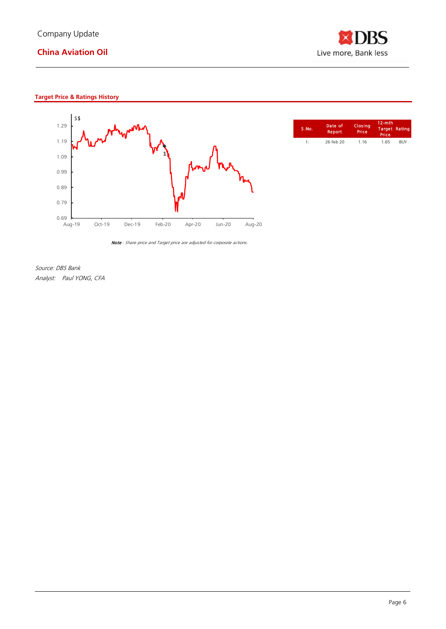





| S.No. | Date of<br><b>Report</b> | Closina<br>Price | $12-$ mth<br>Target Rating<br>Price |            |
|-------|--------------------------|------------------|-------------------------------------|------------|
| 1 -   | 26 Feb 20                | 1.16             | 1.65                                | <b>BUY</b> |

Source: DBS Bank Analyst: Paul YONG, CFA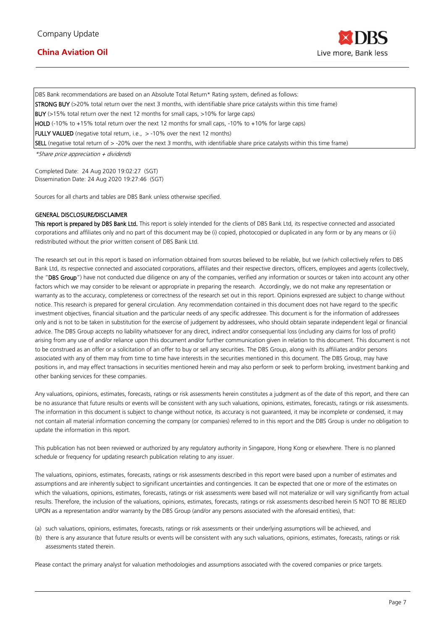

DBS Bank recommendations are based on an Absolute Total Return\* Rating system, defined as follows:

**STRONG BUY** (>20% total return over the next 3 months, with identifiable share price catalysts within this time frame)

BUY (>15% total return over the next 12 months for small caps, >10% for large caps)

HOLD (-10% to +15% total return over the next 12 months for small caps, -10% to +10% for large caps)

FULLY VALUED (negative total return, i.e., > -10% over the next 12 months)

SELL (negative total return of > -20% over the next 3 months, with identifiable share price catalysts within this time frame)

\*Share price appreciation + dividends

Completed Date: 24 Aug 2020 19:02:27 (SGT) Dissemination Date: 24 Aug 2020 19:27:46 (SGT)

Sources for all charts and tables are DBS Bank unless otherwise specified.

#### GENERAL DISCLOSURE/DISCLAIMER

This report is prepared by DBS Bank Ltd. This report is solely intended for the clients of DBS Bank Ltd, its respective connected and associated corporations and affiliates only and no part of this document may be (i) copied, photocopied or duplicated in any form or by any means or (ii) redistributed without the prior written consent of DBS Bank Ltd.

The research set out in this report is based on information obtained from sources believed to be reliable, but we (which collectively refers to DBS Bank Ltd, its respective connected and associated corporations, affiliates and their respective directors, officers, employees and agents (collectively, the "DBS Group") have not conducted due diligence on any of the companies, verified any information or sources or taken into account any other factors which we may consider to be relevant or appropriate in preparing the research. Accordingly, we do not make any representation or warranty as to the accuracy, completeness or correctness of the research set out in this report. Opinions expressed are subject to change without notice. This research is prepared for general circulation. Any recommendation contained in this document does not have regard to the specific investment objectives, financial situation and the particular needs of any specific addressee. This document is for the information of addressees only and is not to be taken in substitution for the exercise of judgement by addressees, who should obtain separate independent legal or financial advice. The DBS Group accepts no liability whatsoever for any direct, indirect and/or consequential loss (including any claims for loss of profit) arising from any use of and/or reliance upon this document and/or further communication given in relation to this document. This document is not to be construed as an offer or a solicitation of an offer to buy or sell any securities. The DBS Group, along with its affiliates and/or persons associated with any of them may from time to time have interests in the securities mentioned in this document. The DBS Group, may have positions in, and may effect transactions in securities mentioned herein and may also perform or seek to perform broking, investment banking and other banking services for these companies.

Any valuations, opinions, estimates, forecasts, ratings or risk assessments herein constitutes a judgment as of the date of this report, and there can be no assurance that future results or events will be consistent with any such valuations, opinions, estimates, forecasts, ratings or risk assessments. The information in this document is subject to change without notice, its accuracy is not guaranteed, it may be incomplete or condensed, it may not contain all material information concerning the company (or companies) referred to in this report and the DBS Group is under no obligation to update the information in this report.

This publication has not been reviewed or authorized by any regulatory authority in Singapore, Hong Kong or elsewhere. There is no planned schedule or frequency for updating research publication relating to any issuer.

The valuations, opinions, estimates, forecasts, ratings or risk assessments described in this report were based upon a number of estimates and assumptions and are inherently subject to significant uncertainties and contingencies. It can be expected that one or more of the estimates on which the valuations, opinions, estimates, forecasts, ratings or risk assessments were based will not materialize or will vary significantly from actual results. Therefore, the inclusion of the valuations, opinions, estimates, forecasts, ratings or risk assessments described herein IS NOT TO BE RELIED UPON as a representation and/or warranty by the DBS Group (and/or any persons associated with the aforesaid entities), that:

(a) such valuations, opinions, estimates, forecasts, ratings or risk assessments or their underlying assumptions will be achieved, and

(b) there is any assurance that future results or events will be consistent with any such valuations, opinions, estimates, forecasts, ratings or risk assessments stated therein.

Please contact the primary analyst for valuation methodologies and assumptions associated with the covered companies or price targets.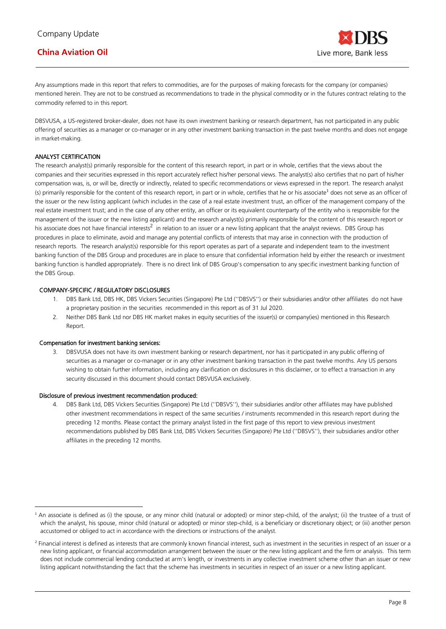Any assumptions made in this report that refers to commodities, are for the purposes of making forecasts for the company (or companies) mentioned herein. They are not to be construed as recommendations to trade in the physical commodity or in the futures contract relating to the commodity referred to in this report.

DBSVUSA, a US-registered broker-dealer, does not have its own investment banking or research department, has not participated in any public offering of securities as a manager or co-manager or in any other investment banking transaction in the past twelve months and does not engage in market-making.

#### ANALYST CERTIFICATION

The research analyst(s) primarily responsible for the content of this research report, in part or in whole, certifies that the views about the companies and their securities expressed in this report accurately reflect his/her personal views. The analyst(s) also certifies that no part of his/her compensation was, is, or will be, directly or indirectly, related to specific recommendations or views expressed in the report. The research analyst (s) primarily responsible for the content of this research report, in part or in whole, certifies that he or his associate<sup>1</sup> does not serve as an officer of the issuer or the new listing applicant (which includes in the case of a real estate investment trust, an officer of the management company of the real estate investment trust; and in the case of any other entity, an officer or its equivalent counterparty of the entity who is responsible for the management of the issuer or the new listing applicant) and the research analyst(s) primarily responsible for the content of this research report or his associate does not have financial interests<sup>2</sup> in relation to an issuer or a new listing applicant that the analyst reviews. DBS Group has procedures in place to eliminate, avoid and manage any potential conflicts of interests that may arise in connection with the production of research reports. The research analyst(s) responsible for this report operates as part of a separate and independent team to the investment banking function of the DBS Group and procedures are in place to ensure that confidential information held by either the research or investment banking function is handled appropriately. There is no direct link of DBS Group's compensation to any specific investment banking function of the DBS Group.

#### COMPANY-SPECIFIC / REGULATORY DISCLOSURES

- 1. DBS Bank Ltd, DBS HK, DBS Vickers Securities (Singapore) Pte Ltd (''DBSVS'') or their subsidiaries and/or other affiliates do not have a proprietary position in the securities recommended in this report as of 31 Jul 2020.
- 2. Neither DBS Bank Ltd nor DBS HK market makes in equity securities of the issuer(s) or company(ies) mentioned in this Research Report.

#### Compensation for investment banking services:

3. DBSVUSA does not have its own investment banking or research department, nor has it participated in any public offering of securities as a manager or co-manager or in any other investment banking transaction in the past twelve months. Any US persons wishing to obtain further information, including any clarification on disclosures in this disclaimer, or to effect a transaction in any security discussed in this document should contact DBSVUSA exclusively.

#### Disclosure of previous investment recommendation produced:

4. DBS Bank Ltd, DBS Vickers Securities (Singapore) Pte Ltd (''DBSVS''), their subsidiaries and/or other affiliates may have published other investment recommendations in respect of the same securities / instruments recommended in this research report during the preceding 12 months. Please contact the primary analyst listed in the first page of this report to view previous investment recommendations published by DBS Bank Ltd, DBS Vickers Securities (Singapore) Pte Ltd (''DBSVS''), their subsidiaries and/or other affiliates in the preceding 12 months.

<sup>&</sup>lt;sup>1</sup> An associate is defined as (i) the spouse, or any minor child (natural or adopted) or minor step-child, of the analyst; (ii) the trustee of a trust of which the analyst, his spouse, minor child (natural or adopted) or minor step-child, is a beneficiary or discretionary object; or (iii) another person accustomed or obliged to act in accordance with the directions or instructions of the analyst.

<sup>&</sup>lt;sup>2</sup> Financial interest is defined as interests that are commonly known financial interest, such as investment in the securities in respect of an issuer or a new listing applicant, or financial accommodation arrangement between the issuer or the new listing applicant and the firm or analysis. This term does not include commercial lending conducted at arm's length, or investments in any collective investment scheme other than an issuer or new listing applicant notwithstanding the fact that the scheme has investments in securities in respect of an issuer or a new listing applicant.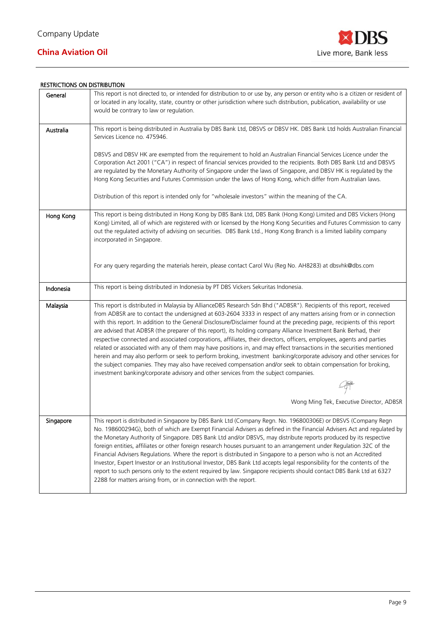

#### RESTRICTIONS ON DISTRIBUTION

| General   | This report is not directed to, or intended for distribution to or use by, any person or entity who is a citizen or resident of<br>or located in any locality, state, country or other jurisdiction where such distribution, publication, availability or use<br>would be contrary to law or regulation.                                                                                                                                                                                                                                                                                                                                                                                                                                                                                                                                                                                                                                                                                                                                                                           |
|-----------|------------------------------------------------------------------------------------------------------------------------------------------------------------------------------------------------------------------------------------------------------------------------------------------------------------------------------------------------------------------------------------------------------------------------------------------------------------------------------------------------------------------------------------------------------------------------------------------------------------------------------------------------------------------------------------------------------------------------------------------------------------------------------------------------------------------------------------------------------------------------------------------------------------------------------------------------------------------------------------------------------------------------------------------------------------------------------------|
| Australia | This report is being distributed in Australia by DBS Bank Ltd, DBSVS or DBSV HK. DBS Bank Ltd holds Australian Financial<br>Services Licence no. 475946.                                                                                                                                                                                                                                                                                                                                                                                                                                                                                                                                                                                                                                                                                                                                                                                                                                                                                                                           |
|           | DBSVS and DBSV HK are exempted from the requirement to hold an Australian Financial Services Licence under the<br>Corporation Act 2001 ("CA") in respect of financial services provided to the recipients. Both DBS Bank Ltd and DBSVS<br>are regulated by the Monetary Authority of Singapore under the laws of Singapore, and DBSV HK is regulated by the<br>Hong Kong Securities and Futures Commission under the laws of Hong Kong, which differ from Australian laws.                                                                                                                                                                                                                                                                                                                                                                                                                                                                                                                                                                                                         |
|           | Distribution of this report is intended only for "wholesale investors" within the meaning of the CA.                                                                                                                                                                                                                                                                                                                                                                                                                                                                                                                                                                                                                                                                                                                                                                                                                                                                                                                                                                               |
| Hong Kong | This report is being distributed in Hong Kong by DBS Bank Ltd, DBS Bank (Hong Kong) Limited and DBS Vickers (Hong<br>Kong) Limited, all of which are registered with or licensed by the Hong Kong Securities and Futures Commission to carry<br>out the regulated activity of advising on securities. DBS Bank Ltd., Hong Kong Branch is a limited liability company<br>incorporated in Singapore.                                                                                                                                                                                                                                                                                                                                                                                                                                                                                                                                                                                                                                                                                 |
|           | For any query regarding the materials herein, please contact Carol Wu (Reg No. AH8283) at dbsvhk@dbs.com                                                                                                                                                                                                                                                                                                                                                                                                                                                                                                                                                                                                                                                                                                                                                                                                                                                                                                                                                                           |
| Indonesia | This report is being distributed in Indonesia by PT DBS Vickers Sekuritas Indonesia.                                                                                                                                                                                                                                                                                                                                                                                                                                                                                                                                                                                                                                                                                                                                                                                                                                                                                                                                                                                               |
| Malaysia  | This report is distributed in Malaysia by AllianceDBS Research Sdn Bhd ("ADBSR"). Recipients of this report, received<br>from ADBSR are to contact the undersigned at 603-2604 3333 in respect of any matters arising from or in connection<br>with this report. In addition to the General Disclosure/Disclaimer found at the preceding page, recipients of this report<br>are advised that ADBSR (the preparer of this report), its holding company Alliance Investment Bank Berhad, their<br>respective connected and associated corporations, affiliates, their directors, officers, employees, agents and parties<br>related or associated with any of them may have positions in, and may effect transactions in the securities mentioned<br>herein and may also perform or seek to perform broking, investment banking/corporate advisory and other services for<br>the subject companies. They may also have received compensation and/or seek to obtain compensation for broking,<br>investment banking/corporate advisory and other services from the subject companies. |
|           |                                                                                                                                                                                                                                                                                                                                                                                                                                                                                                                                                                                                                                                                                                                                                                                                                                                                                                                                                                                                                                                                                    |
|           | Wong Ming Tek, Executive Director, ADBSR                                                                                                                                                                                                                                                                                                                                                                                                                                                                                                                                                                                                                                                                                                                                                                                                                                                                                                                                                                                                                                           |
| Singapore | This report is distributed in Singapore by DBS Bank Ltd (Company Regn. No. 196800306E) or DBSVS (Company Regn<br>No. 198600294G), both of which are Exempt Financial Advisers as defined in the Financial Advisers Act and regulated by<br>the Monetary Authority of Singapore. DBS Bank Ltd and/or DBSVS, may distribute reports produced by its respective<br>foreign entities, affiliates or other foreign research houses pursuant to an arrangement under Regulation 32C of the<br>Financial Advisers Regulations. Where the report is distributed in Singapore to a person who is not an Accredited<br>Investor, Expert Investor or an Institutional Investor, DBS Bank Ltd accepts legal responsibility for the contents of the<br>report to such persons only to the extent required by law. Singapore recipients should contact DBS Bank Ltd at 6327<br>2288 for matters arising from, or in connection with the report.                                                                                                                                                  |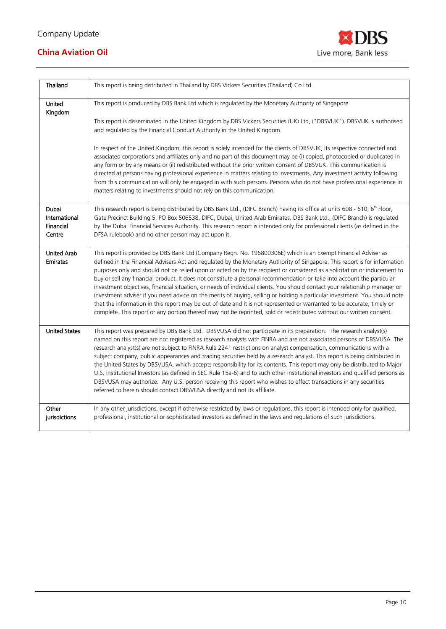

| Thailand                                      | This report is being distributed in Thailand by DBS Vickers Securities (Thailand) Co Ltd.                                                                                                                                                                                                                                                                                                                                                                                                                                                                                                                                                                                                                                                                                                                                                                                                                                                                                                                             |
|-----------------------------------------------|-----------------------------------------------------------------------------------------------------------------------------------------------------------------------------------------------------------------------------------------------------------------------------------------------------------------------------------------------------------------------------------------------------------------------------------------------------------------------------------------------------------------------------------------------------------------------------------------------------------------------------------------------------------------------------------------------------------------------------------------------------------------------------------------------------------------------------------------------------------------------------------------------------------------------------------------------------------------------------------------------------------------------|
| <b>United</b><br>Kingdom                      | This report is produced by DBS Bank Ltd which is regulated by the Monetary Authority of Singapore.                                                                                                                                                                                                                                                                                                                                                                                                                                                                                                                                                                                                                                                                                                                                                                                                                                                                                                                    |
|                                               | This report is disseminated in the United Kingdom by DBS Vickers Securities (UK) Ltd, ("DBSVUK"). DBSVUK is authorised<br>and regulated by the Financial Conduct Authority in the United Kingdom.                                                                                                                                                                                                                                                                                                                                                                                                                                                                                                                                                                                                                                                                                                                                                                                                                     |
|                                               | In respect of the United Kingdom, this report is solely intended for the clients of DBSVUK, its respective connected and<br>associated corporations and affiliates only and no part of this document may be (i) copied, photocopied or duplicated in<br>any form or by any means or (ii) redistributed without the prior written consent of DBSVUK. This communication is<br>directed at persons having professional experience in matters relating to investments. Any investment activity following<br>from this communication will only be engaged in with such persons. Persons who do not have professional experience in<br>matters relating to investments should not rely on this communication.                                                                                                                                                                                                                                                                                                              |
| Dubai<br>International<br>Financial<br>Centre | This research report is being distributed by DBS Bank Ltd., (DIFC Branch) having its office at units 608 - 610, 6 <sup>th</sup> Floor,<br>Gate Precinct Building 5, PO Box 506538, DIFC, Dubai, United Arab Emirates. DBS Bank Ltd., (DIFC Branch) is regulated<br>by The Dubai Financial Services Authority. This research report is intended only for professional clients (as defined in the<br>DFSA rulebook) and no other person may act upon it.                                                                                                                                                                                                                                                                                                                                                                                                                                                                                                                                                                |
| <b>United Arab</b><br><b>Emirates</b>         | This report is provided by DBS Bank Ltd (Company Regn. No. 196800306E) which is an Exempt Financial Adviser as<br>defined in the Financial Advisers Act and regulated by the Monetary Authority of Singapore. This report is for information<br>purposes only and should not be relied upon or acted on by the recipient or considered as a solicitation or inducement to<br>buy or sell any financial product. It does not constitute a personal recommendation or take into account the particular<br>investment objectives, financial situation, or needs of individual clients. You should contact your relationship manager or<br>investment adviser if you need advice on the merits of buying, selling or holding a particular investment. You should note<br>that the information in this report may be out of date and it is not represented or warranted to be accurate, timely or<br>complete. This report or any portion thereof may not be reprinted, sold or redistributed without our written consent. |
| <b>United States</b>                          | This report was prepared by DBS Bank Ltd. DBSVUSA did not participate in its preparation. The research analyst(s)<br>named on this report are not registered as research analysts with FINRA and are not associated persons of DBSVUSA. The<br>research analyst(s) are not subject to FINRA Rule 2241 restrictions on analyst compensation, communications with a<br>subject company, public appearances and trading securities held by a research analyst. This report is being distributed in<br>the United States by DBSVUSA, which accepts responsibility for its contents. This report may only be distributed to Major<br>U.S. Institutional Investors (as defined in SEC Rule 15a-6) and to such other institutional investors and qualified persons as<br>DBSVUSA may authorize. Any U.S. person receiving this report who wishes to effect transactions in any securities<br>referred to herein should contact DBSVUSA directly and not its affiliate.                                                       |
| Other<br>jurisdictions                        | In any other jurisdictions, except if otherwise restricted by laws or regulations, this report is intended only for qualified,<br>professional, institutional or sophisticated investors as defined in the laws and regulations of such jurisdictions.                                                                                                                                                                                                                                                                                                                                                                                                                                                                                                                                                                                                                                                                                                                                                                |